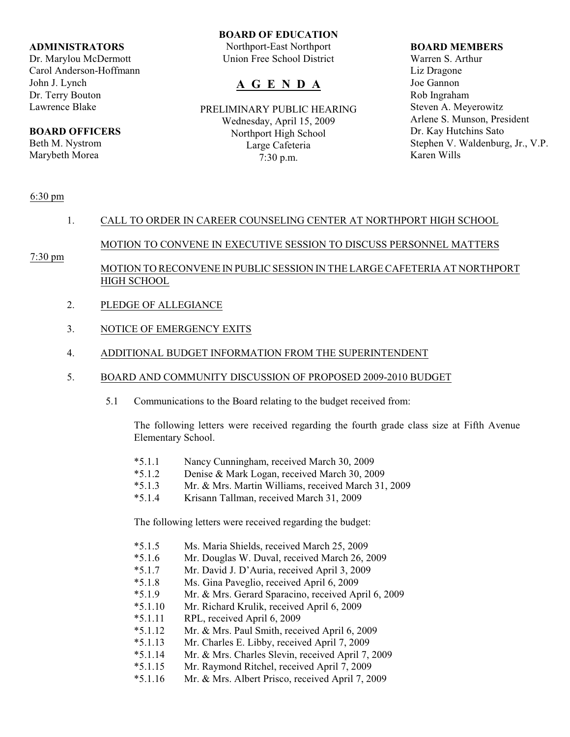### **ADMINISTRATORS**

Dr. Marylou McDermott Carol Anderson-Hoffmann John J. Lynch Dr. Terry Bouton Lawrence Blake

## **BOARD OFFICERS**

Beth M. Nystrom Marybeth Morea

### **BOARD OF EDUCATION**

Northport-East Northport Union Free School District

# **A G E N D A**

PRELIMINARY PUBLIC HEARING Wednesday, April 15, 2009 Northport High School Large Cafeteria 7:30 p.m.

#### **BOARD MEMBERS**

Warren S. Arthur Liz Dragone Joe Gannon Rob Ingraham Steven A. Meyerowitz Arlene S. Munson, President Dr. Kay Hutchins Sato Stephen V. Waldenburg, Jr., V.P. Karen Wills

#### 6:30 pm

## 1. CALL TO ORDER IN CAREER COUNSELING CENTER AT NORTHPORT HIGH SCHOOL

# MOTION TO CONVENE IN EXECUTIVE SESSION TO DISCUSS PERSONNEL MATTERS

## 7:30 pm

# MOTION TO RECONVENE IN PUBLIC SESSION IN THE LARGE CAFETERIA AT NORTHPORT HIGH SCHOOL

- 2. PLEDGE OF ALLEGIANCE
- 3. NOTICE OF EMERGENCY EXITS
- 4. ADDITIONAL BUDGET INFORMATION FROM THE SUPERINTENDENT
- 5. BOARD AND COMMUNITY DISCUSSION OF PROPOSED 2009-2010 BUDGET
	- 5.1 Communications to the Board relating to the budget received from:

The following letters were received regarding the fourth grade class size at Fifth Avenue Elementary School.

- \*5.1.1 Nancy Cunningham, received March 30, 2009
- \*5.1.2 Denise & Mark Logan, received March 30, 2009
- Mr. & Mrs. Martin Williams, received March 31, 2009
- \*5.1.4 Krisann Tallman, received March 31, 2009

The following letters were received regarding the budget:

- \*5.1.5 Ms. Maria Shields, received March 25, 2009
- \*5.1.6 Mr. Douglas W. Duval, received March 26, 2009
- \*5.1.7 Mr. David J. D'Auria, received April 3, 2009
- \*5.1.8 Ms. Gina Paveglio, received April 6, 2009
- \*5.1.9 Mr. & Mrs. Gerard Sparacino, received April 6, 2009
- \*5.1.10 Mr. Richard Krulik, received April 6, 2009
- \*5.1.11 RPL, received April 6, 2009
- \*5.1.12 Mr. & Mrs. Paul Smith, received April 6, 2009
- \*5.1.13 Mr. Charles E. Libby, received April 7, 2009
- \*5.1.14 Mr. & Mrs. Charles Slevin, received April 7, 2009
- \*5.1.15 Mr. Raymond Ritchel, received April 7, 2009
- \*5.1.16 Mr. & Mrs. Albert Prisco, received April 7, 2009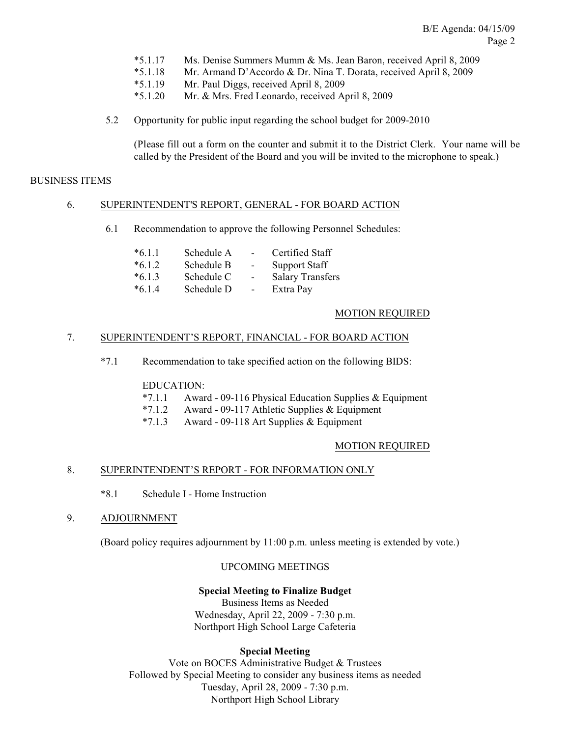- \*5.1.17 Ms. Denise Summers Mumm & Ms. Jean Baron, received April 8, 2009
- \*5.1.18 Mr. Armand D'Accordo & Dr. Nina T. Dorata, received April 8, 2009
- \*5.1.19 Mr. Paul Diggs, received April 8, 2009
- \*5.1.20 Mr. & Mrs. Fred Leonardo, received April 8, 2009
- 5.2 Opportunity for public input regarding the school budget for 2009-2010

(Please fill out a form on the counter and submit it to the District Clerk. Your name will be called by the President of the Board and you will be invited to the microphone to speak.)

### BUSINESS ITEMS

## 6. SUPERINTENDENT'S REPORT, GENERAL - FOR BOARD ACTION

6.1 Recommendation to approve the following Personnel Schedules:

| $*6.1.1$ | Schedule A | $\overline{\phantom{0}}$ | Certified Staff         |
|----------|------------|--------------------------|-------------------------|
| $*6.1.2$ | Schedule B | $\overline{\phantom{a}}$ | <b>Support Staff</b>    |
| $*6.1.3$ | Schedule C | $\overline{\phantom{a}}$ | <b>Salary Transfers</b> |
| $*6.1.4$ | Schedule D | $\overline{\phantom{0}}$ | Extra Pay               |

### MOTION REQUIRED

### 7. SUPERINTENDENT'S REPORT, FINANCIAL - FOR BOARD ACTION

\*7.1 Recommendation to take specified action on the following BIDS:

### EDUCATION:

- \*7.1.1 Award 09-116 Physical Education Supplies & Equipment
- \*7.1.2 Award 09-117 Athletic Supplies & Equipment
- $*7.1.3$  Award 09-118 Art Supplies & Equipment

### MOTION REQUIRED

### 8. SUPERINTENDENT'S REPORT - FOR INFORMATION ONLY

- \*8.1 Schedule I Home Instruction
- 9. ADJOURNMENT

(Board policy requires adjournment by 11:00 p.m. unless meeting is extended by vote.)

## UPCOMING MEETINGS

### **Special Meeting to Finalize Budget**

Business Items as Needed Wednesday, April 22, 2009 - 7:30 p.m. Northport High School Large Cafeteria

### **Special Meeting**

Vote on BOCES Administrative Budget & Trustees Followed by Special Meeting to consider any business items as needed Tuesday, April 28, 2009 - 7:30 p.m. Northport High School Library